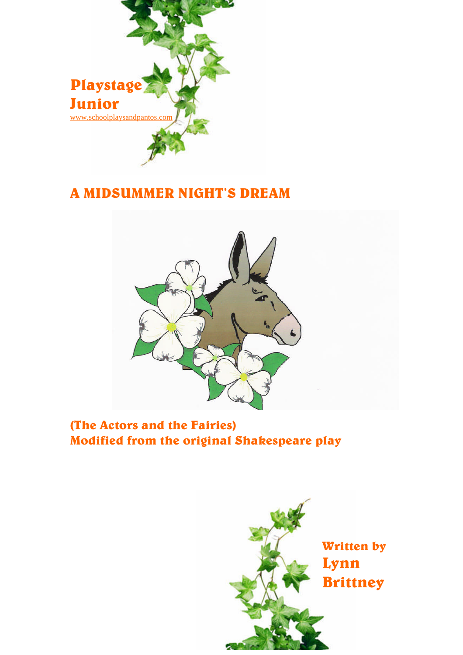

# A MIDSUMMER NIGHT'S DREAM



(The Actors and the Fairies) Modified from the original Shakespeare play

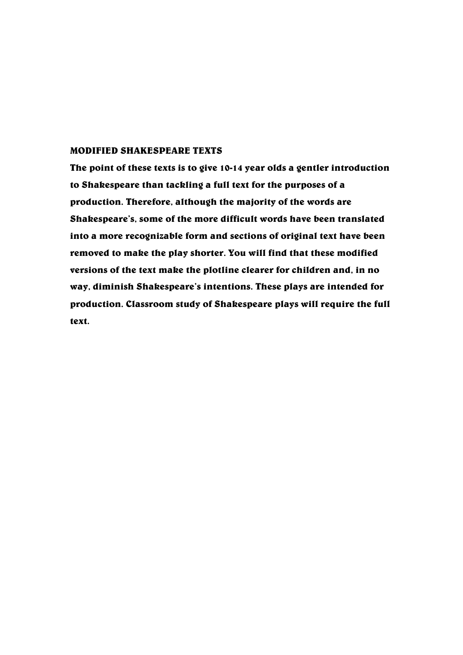#### MODIFIED SHAKESPEARE TEXTS

The point of these texts is to give 10-14 year olds a gentler introduction to Shakespeare than tackling a full text for the purposes of a production. Therefore, although the majority of the words are Shakespeare's, some of the more difficult words have been translated into a more recognizable form and sections of original text have been removed to make the play shorter. You will find that these modified versions of the text make the plotline clearer for children and, in no way, diminish Shakespeare's intentions. These plays are intended for production. Classroom study of Shakespeare plays will require the full text.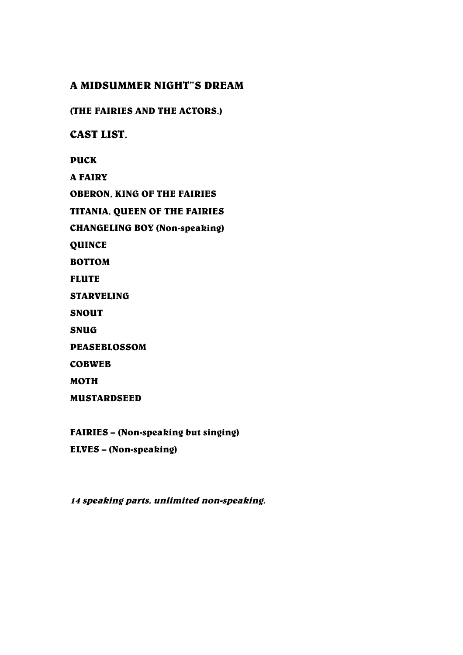# A MIDSUMMER NIGHT"S DREAM

(THE FAIRIES AND THE ACTORS.)

CAST LIST.

PUCK

A FAIRY

OBERON, KING OF THE FAIRIES

TITANIA, QUEEN OF THE FAIRIES

CHANGELING BOY (Non-speaking)

QUINCE

BOTTOM

FLUTE

STARVELING

SNOUT

SNUG

PEASEBLOSSOM

COBWEB

MOTH

MUSTARDSEED

FAIRIES – (Non-speaking but singing)

ELVES – (Non-speaking)

14 speaking parts, unlimited non-speaking.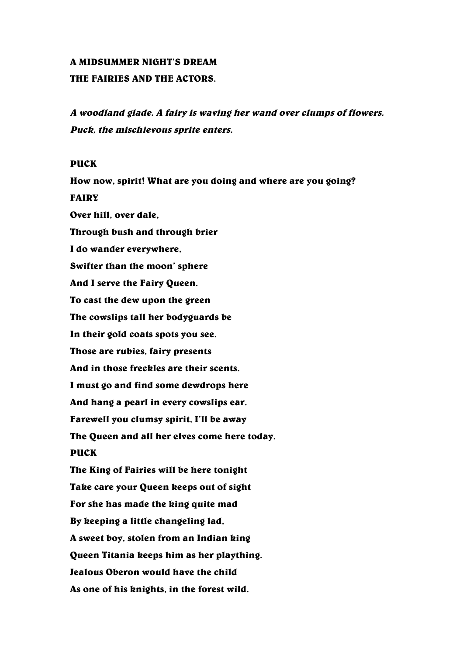#### A MIDSUMMER NIGHT'S DREAM

### THE FAIRIES AND THE ACTORS.

<sup>A</sup> woodland glade. <sup>A</sup> fairy is waving her wand over clumps of flowers. Puck, the mischievous sprite enters.

### PUCK

How now, spirit! What are you doing and where are you going? FAIRY Over hill, over dale, Through bush and through brier I do wander everywhere, Swifter than the moon' sphere And I serve the Fairy Queen. To cast the dew upon the green The cowslips tall her bodyguards be In their gold coats spots you see. Those are rubies, fairy presents And in those freckles are their scents. I must go and find some dewdrops here And hang a pearl in every cowslips ear. Farewell you clumsy spirit, I'll be away The Queen and all her elves come here today. PUCK The King of Fairies will be here tonight Take care your Queen keeps out of sight For she has made the king quite mad By keeping a little changeling lad, A sweet boy, stolen from an Indian king Queen Titania keeps him as her plaything. Jealous Oberon would have the child As one of his knights, in the forest wild.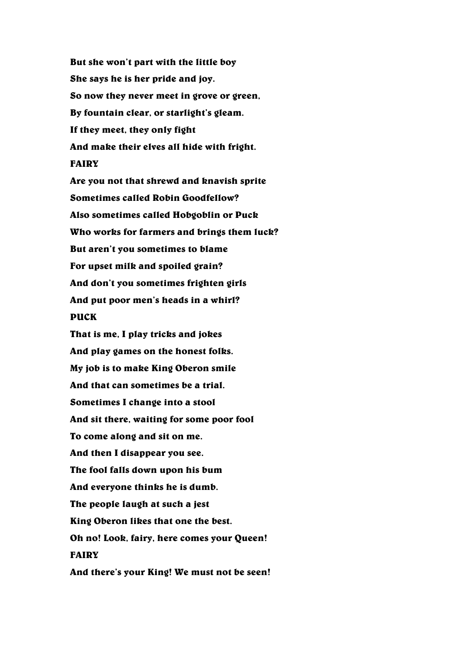But she won't part with the little boy She says he is her pride and joy. So now they never meet in grove or green, By fountain clear, or starlight's gleam. If they meet, they only fight And make their elves all hide with fright. FAIRY Are you not that shrewd and knavish sprite Sometimes called Robin Goodfellow? Also sometimes called Hobgoblin or Puck Who works for farmers and brings them luck? But aren't you sometimes to blame For upset milk and spoiled grain? And don't you sometimes frighten girls And put poor men's heads in a whirl? PUCK That is me, I play tricks and jokes And play games on the honest folks. My job is to make King Oberon smile And that can sometimes be a trial. Sometimes I change into a stool And sit there, waiting for some poor fool To come along and sit on me. And then I disappear you see. The fool falls down upon his bum And everyone thinks he is dumb. The people laugh at such a jest King Oberon likes that one the best. Oh no! Look, fairy, here comes your Queen! FAIRY And there's your King! We must not be seen!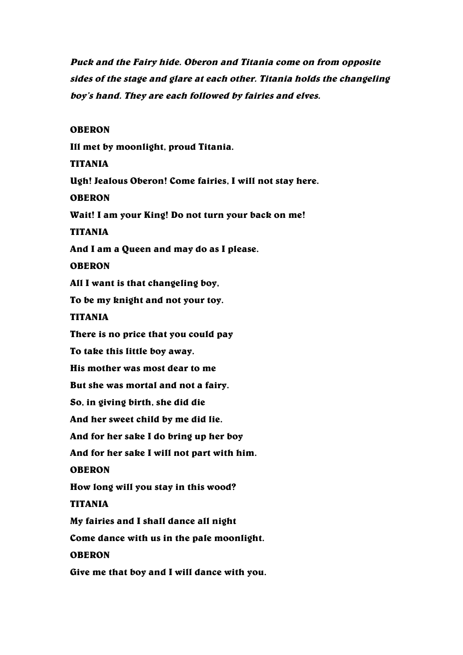Puck and the Fairy hide. Oberon and Titania come on from opposite sides of the stage and glare at each other. Titania holds the changeling boy's hand. They are each followed by fairies and elves.

OBERON

Ill met by moonlight, proud Titania. TITANIA Ugh! Jealous Oberon! Come fairies, I will not stay here. **OBERON** Wait! I am your King! Do not turn your back on me! TITANIA And I am a Queen and may do as I please. OBERON All I want is that changeling boy, To be my knight and not your toy. TITANIA There is no price that you could pay To take this little boy away. His mother was most dear to me But she was mortal and not a fairy. So, in giving birth, she did die And her sweet child by me did lie. And for her sake I do bring up her boy And for her sake I will not part with him. OBERON How long will you stay in this wood? TITANIA My fairies and I shall dance all night Come dance with us in the pale moonlight. OBERON Give me that boy and I will dance with you.